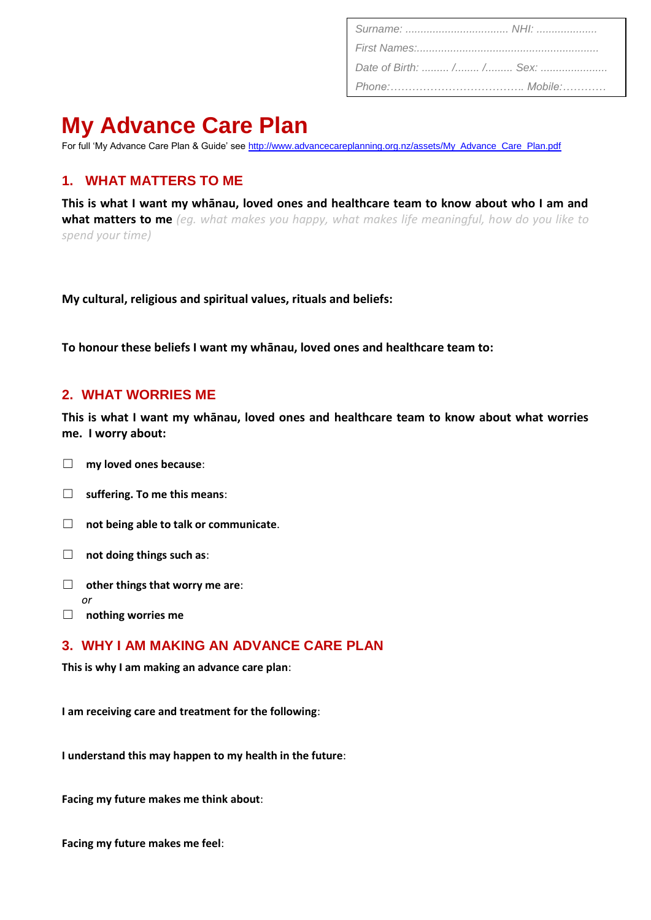| Date of Birth:  / / Sex: |  |
|--------------------------|--|
|                          |  |

# **My Advance Care Plan**

For full 'My Advance Care Plan & Guide' see [http://www.advancecareplanning.org.nz/assets/My\\_Advance\\_Care\\_Plan.pdf](http://www.advancecareplanning.org.nz/assets/My_Advance_Care_Plan.pdf)

## **1. WHAT MATTERS TO ME**

**This is what I want my whānau, loved ones and healthcare team to know about who I am and what matters to me** *(eg. what makes you happy, what makes life meaningful, how do you like to spend your time)*

**My cultural, religious and spiritual values, rituals and beliefs:**

**To honour these beliefs I want my whānau, loved ones and healthcare team to:**

#### **2. WHAT WORRIES ME**

**This is what I want my whānau, loved ones and healthcare team to know about what worries me. I worry about:**

- ☐ **my loved ones because**:
- ☐ **suffering. To me this means**:
- ☐ **not being able to talk or communicate**.
- ☐ **not doing things such as**:
- ☐ **other things that worry me are**: *or*
- ☐ **nothing worries me**

#### **3. WHY I AM MAKING AN ADVANCE CARE PLAN**

**This is why I am making an advance care plan**:

**I am receiving care and treatment for the following**:

**I understand this may happen to my health in the future**:

**Facing my future makes me think about**:

**Facing my future makes me feel**: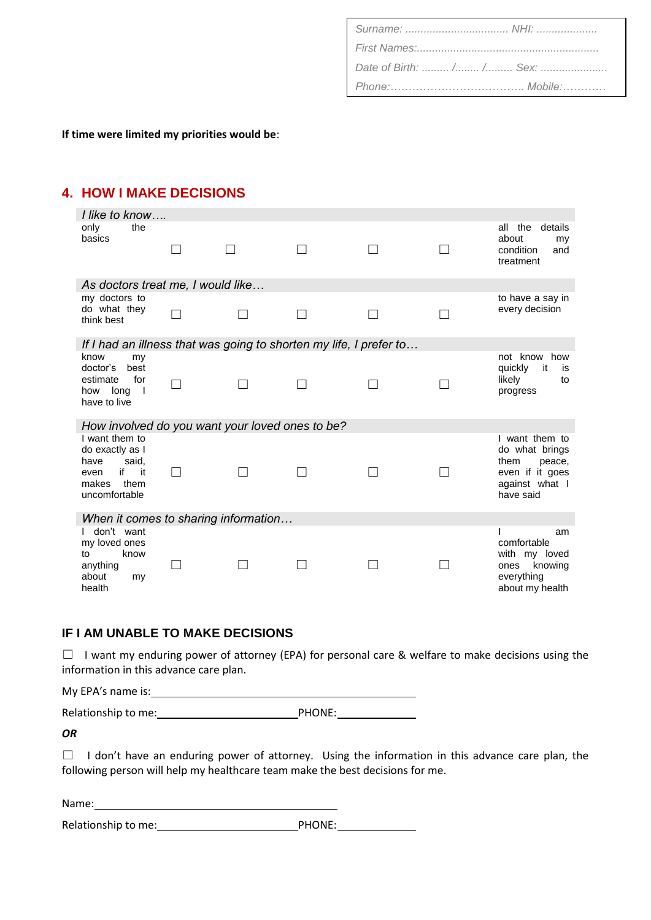#### **If time were limited my priorities would be**:

## **4. HOW I MAKE DECISIONS**

| I like to know                                                                                        |  |  |  |  |                                                                                                      |
|-------------------------------------------------------------------------------------------------------|--|--|--|--|------------------------------------------------------------------------------------------------------|
| only<br>the<br>basics                                                                                 |  |  |  |  | all the<br>details<br>about<br>my<br>condition<br>and<br>treatment                                   |
| As doctors treat me, I would like                                                                     |  |  |  |  |                                                                                                      |
| my doctors to                                                                                         |  |  |  |  | to have a say in                                                                                     |
| do what they<br>think best                                                                            |  |  |  |  | every decision                                                                                       |
| If I had an illness that was going to shorten my life, I prefer to                                    |  |  |  |  |                                                                                                      |
| know<br>my<br>doctor's<br>best<br>estimate<br>for<br>how long<br>$\blacksquare$<br>have to live       |  |  |  |  | not know how<br>quickly<br>it<br>is<br>likely<br>to<br>progress                                      |
| How involved do you want your loved ones to be?                                                       |  |  |  |  |                                                                                                      |
| I want them to<br>do exactly as I<br>have<br>said,<br>if it<br>even<br>makes<br>them<br>uncomfortable |  |  |  |  | I want them to<br>do what brings<br>them<br>peace,<br>even if it goes<br>against what I<br>have said |
| When it comes to sharing information                                                                  |  |  |  |  |                                                                                                      |
| don't want<br>my loved ones<br>know<br>to<br>anything<br>about<br>my<br>health                        |  |  |  |  | am<br>comfortable<br>with my loved<br>ones knowing<br>everything<br>about my health                  |

#### **IF I AM UNABLE TO MAKE DECISIONS**

 $\Box$  I want my enduring power of attorney (EPA) for personal care & welfare to make decisions using the information in this advance care plan.

My EPA's name is:

Relationship to me: PHONE:

*OR*

□ I don't have an enduring power of attorney. Using the information in this advance care plan, the following person will help my healthcare team make the best decisions for me.

Name:

Relationship to me: Network and PHONE: Network and PHONE: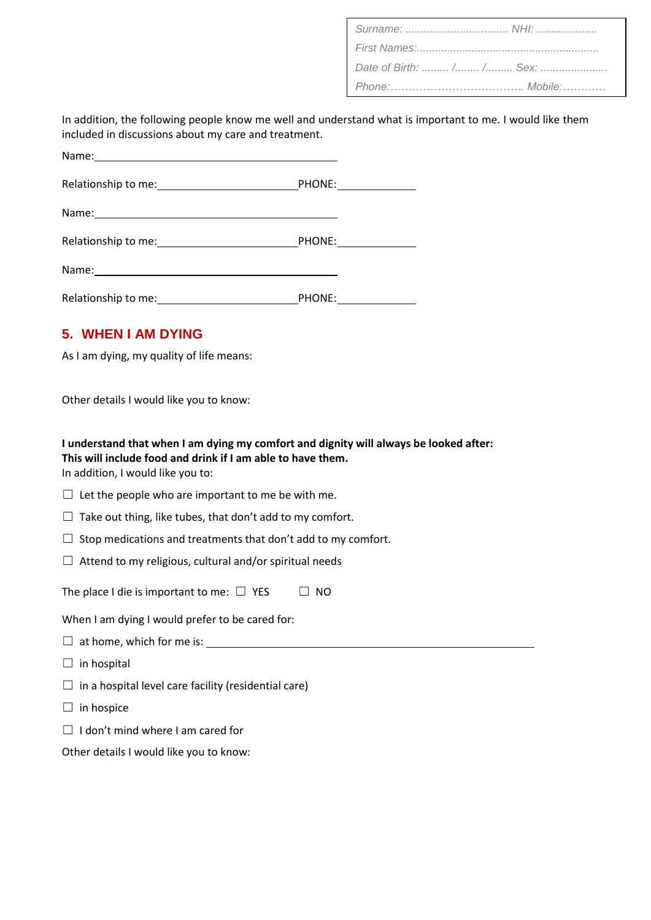| Date of Birth:  / / Sex: |  |
|--------------------------|--|
|                          |  |

In addition, the following people know me well and understand what is important to me. I would like them included in discussions about my care and treatment.

|                                                                                                                                                                                                                                | PHONE: _______________ |  |
|--------------------------------------------------------------------------------------------------------------------------------------------------------------------------------------------------------------------------------|------------------------|--|
|                                                                                                                                                                                                                                |                        |  |
| Relationship to me: Network and the set of the set of the set of the set of the set of the set of the set of the set of the set of the set of the set of the set of the set of the set of the set of the set of the set of the | PHONE: ____________    |  |
|                                                                                                                                                                                                                                |                        |  |
| Relationship to me:                                                                                                                                                                                                            | PHONE:                 |  |

### **5. WHEN I AM DYING**

As I am dying, my quality of life means:

Other details I would like you to know:

**I understand that when I am dying my comfort and dignity will always be looked after: This will include food and drink if I am able to have them.**

In addition, I would like you to:

 $\Box$  Let the people who are important to me be with me.

 $\Box$  Take out thing, like tubes, that don't add to my comfort.

 $\Box$  Stop medications and treatments that don't add to my comfort.

 $\Box$  Attend to my religious, cultural and/or spiritual needs

The place I die is important to me:  $\Box$  YES  $\Box$  NO

When I am dying I would prefer to be cared for:

- $\Box$  at home, which for me is:
- $\Box$  in hospital

 $\Box$  in a hospital level care facility (residential care)

 $\Box$  in hospice

 $\Box$  I don't mind where I am cared for

Other details I would like you to know: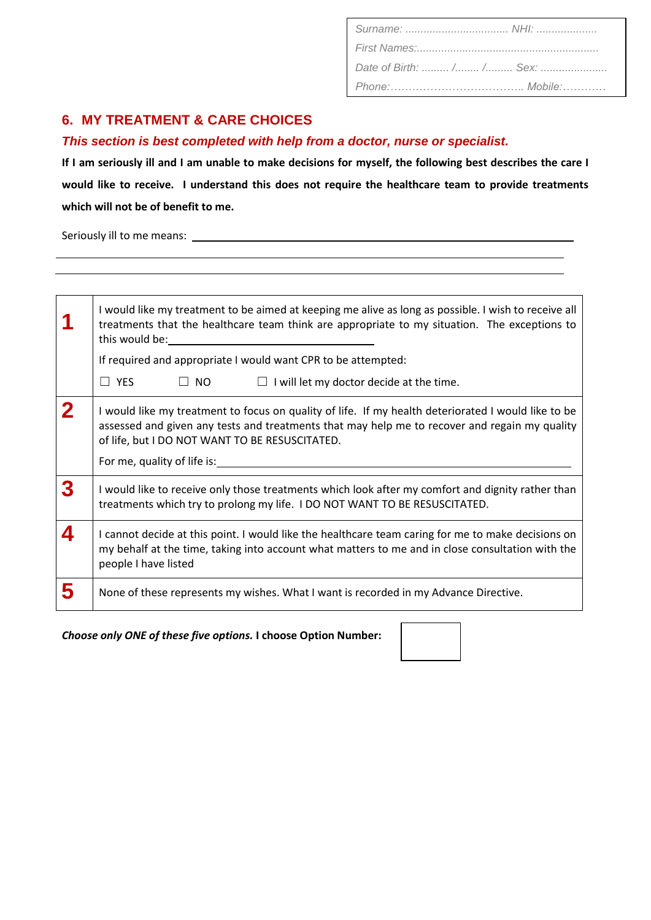| Date of Birth:  / / Sex: |  |
|--------------------------|--|
|                          |  |

## **6. MY TREATMENT & CARE CHOICES**

*This section is best completed with help from a doctor, nurse or specialist.*

**If I am seriously ill and I am unable to make decisions for myself, the following best describes the care I would like to receive. I understand this does not require the healthcare team to provide treatments which will not be of benefit to me.**

Seriously ill to me means:

|             | I would like my treatment to be aimed at keeping me alive as long as possible. I wish to receive all<br>treatments that the healthcare team think are appropriate to my situation. The exceptions to<br>this would be: will be a series of the series of the series of the series of the series of the series of the series of the series of the series of the series of the series of the series of the series of the series of the s |  |  |
|-------------|----------------------------------------------------------------------------------------------------------------------------------------------------------------------------------------------------------------------------------------------------------------------------------------------------------------------------------------------------------------------------------------------------------------------------------------|--|--|
|             | If required and appropriate I would want CPR to be attempted:                                                                                                                                                                                                                                                                                                                                                                          |  |  |
|             | $\Box$ NO<br>$\Box$ YES<br>$\Box$ I will let my doctor decide at the time.                                                                                                                                                                                                                                                                                                                                                             |  |  |
| $\mathbf 2$ | I would like my treatment to focus on quality of life. If my health deteriorated I would like to be<br>assessed and given any tests and treatments that may help me to recover and regain my quality<br>of life, but I DO NOT WANT TO BE RESUSCITATED.<br>For me, quality of life is:                                                                                                                                                  |  |  |
| 3           | I would like to receive only those treatments which look after my comfort and dignity rather than<br>treatments which try to prolong my life. I DO NOT WANT TO BE RESUSCITATED.                                                                                                                                                                                                                                                        |  |  |
| 4           | I cannot decide at this point. I would like the healthcare team caring for me to make decisions on<br>my behalf at the time, taking into account what matters to me and in close consultation with the<br>people I have listed                                                                                                                                                                                                         |  |  |
| 5           | None of these represents my wishes. What I want is recorded in my Advance Directive.                                                                                                                                                                                                                                                                                                                                                   |  |  |

*Choose only ONE of these five options.* **I choose Option Number:**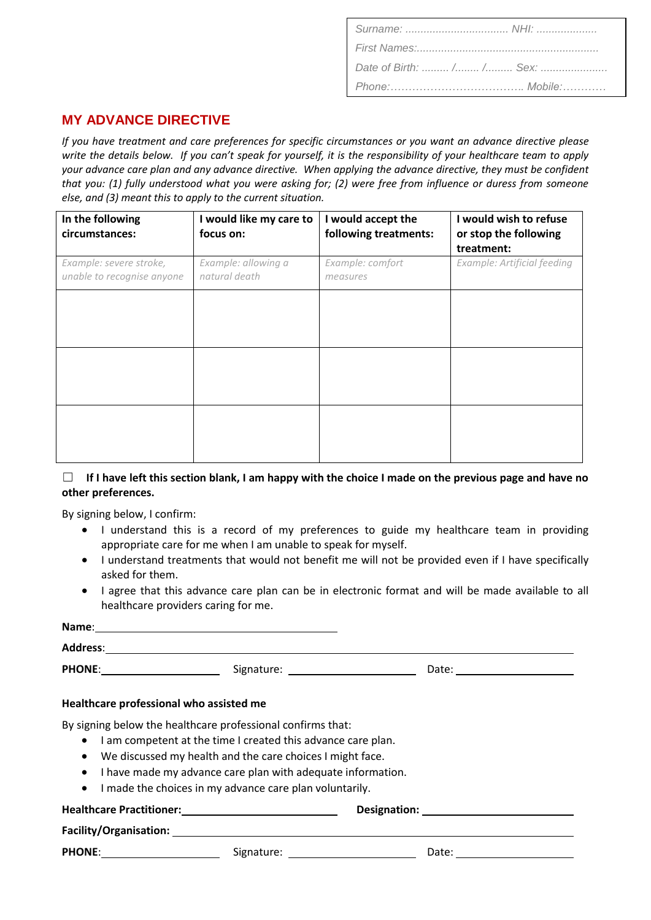| Date of Birth:  / / Sex: |  |
|--------------------------|--|
|                          |  |

# **MY ADVANCE DIRECTIVE**

*If you have treatment and care preferences for specific circumstances or you want an advance directive please write the details below. If you can't speak for yourself, it is the responsibility of your healthcare team to apply your advance care plan and any advance directive. When applying the advance directive, they must be confident that you: (1) fully understood what you were asking for; (2) were free from influence or duress from someone else, and (3) meant this to apply to the current situation.*

| In the following<br>circumstances:                    | I would like my care to<br>focus on: | I would accept the<br>following treatments: | I would wish to refuse<br>or stop the following<br>treatment: |
|-------------------------------------------------------|--------------------------------------|---------------------------------------------|---------------------------------------------------------------|
| Example: severe stroke,<br>unable to recognise anyone | Example: allowing a<br>natural death | Example: comfort<br>measures                | Example: Artificial feeding                                   |
|                                                       |                                      |                                             |                                                               |
|                                                       |                                      |                                             |                                                               |
|                                                       |                                      |                                             |                                                               |
|                                                       |                                      |                                             |                                                               |
|                                                       |                                      |                                             |                                                               |

#### ☐ **If I have left this section blank, I am happy with the choice I made on the previous page and have no other preferences.**

By signing below, I confirm:

- I understand this is a record of my preferences to guide my healthcare team in providing appropriate care for me when I am unable to speak for myself.
- I understand treatments that would not benefit me will not be provided even if I have specifically asked for them.
- I agree that this advance care plan can be in electronic format and will be made available to all healthcare providers caring for me.

| Name:                                                                                                                                    |                                             |                         |  |
|------------------------------------------------------------------------------------------------------------------------------------------|---------------------------------------------|-------------------------|--|
| <b>Address:</b>                                                                                                                          |                                             |                         |  |
|                                                                                                                                          | Signature: 2000 Communication Communication | Date: _________________ |  |
| Healthcare professional who assisted me                                                                                                  |                                             |                         |  |
| By signing below the healthcare professional confirms that:<br>I am competent at the time I created this advance care plan.<br>$\bullet$ |                                             |                         |  |

- We discussed my health and the care choices I might face.
- I have made my advance care plan with adequate information.
- I made the choices in my advance care plan voluntarily.

**Healthcare Practitioner: Designation:** 

**Facility/Organisation:** 

PHONE: Date: Signature: Date: Date: Date: Date: Date: Date: Date: Date: Date: Date: Date: Date: Date: Date: Date: Date: Date: Date: Date: Date: Date: Date: Date: Date: Date: Date: Date: Date: Date: Date: Date: Date: Date: